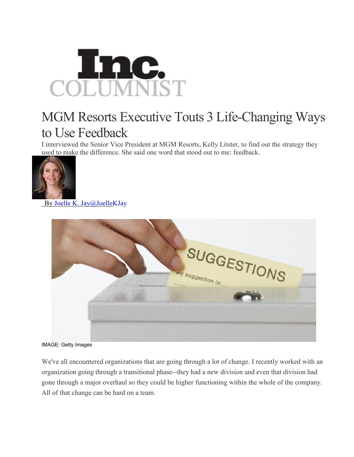

## MGM Resorts Executive Touts 3 Life-Changing Ways to Use Feedback

I interviewed the Senior Vice President at MGM Resorts, Kelly Litster, to find out the strategy they used to make the difference. She said one word that stood out to me: feedback.



By Joelle K. [Jay@JoelleKJay](http://www.inc.com/author/joelle-k-jay)



IMAGE: Getty Images

We've all encountered organizations that are going through a lot of change. I recently worked with an organization going through a transitional phase--they had a new division and even that division had gone through a major overhaul so they could be higher functioning within the whole of the company. All of that change can be hard on a team.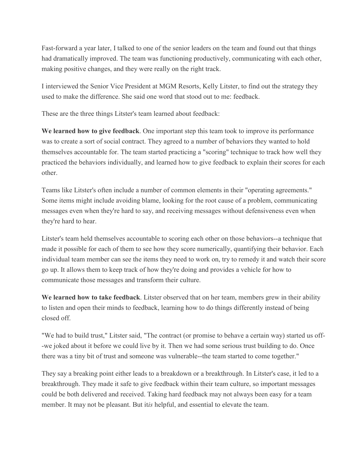Fast-forward a year later, I talked to one of the senior leaders on the team and found out that things had dramatically improved. The team was functioning productively, communicating with each other, making positive changes, and they were really on the right track.

I interviewed the Senior Vice President at MGM Resorts, Kelly Litster, to find out the strategy they used to make the difference. She said one word that stood out to me: feedback.

These are the three things Litster's team learned about feedback:

**We learned how to give feedback**. One important step this team took to improve its performance was to create a sort of social contract. They agreed to a number of behaviors they wanted to hold themselves accountable for. The team started practicing a "scoring" technique to track how well they practiced the behaviors individually, and learned how to give feedback to explain their scores for each other.

Teams like Litster's often include a number of common elements in their "operating agreements." Some items might include avoiding blame, looking for the root cause of a problem, communicating messages even when they're hard to say, and receiving messages without defensiveness even when they're hard to hear.

Litster's team held themselves accountable to scoring each other on those behaviors--a technique that made it possible for each of them to see how they score numerically, quantifying their behavior. Each individual team member can see the items they need to work on, try to remedy it and watch their score go up. It allows them to keep track of how they're doing and provides a vehicle for how to communicate those messages and transform their culture.

**We learned how to take feedback**. Litster observed that on her team, members grew in their ability to listen and open their minds to feedback, learning how to do things differently instead of being closed off.

"We had to build trust," Litster said, "The contract (or promise to behave a certain way) started us off- -we joked about it before we could live by it. Then we had some serious trust building to do. Once there was a tiny bit of trust and someone was vulnerable--the team started to come together."

They say a breaking point either leads to a breakdown or a breakthrough. In Litster's case, it led to a breakthrough. They made it safe to give feedback within their team culture, so important messages could be both delivered and received. Taking hard feedback may not always been easy for a team member. It may not be pleasant. But it*is* helpful, and essential to elevate the team.